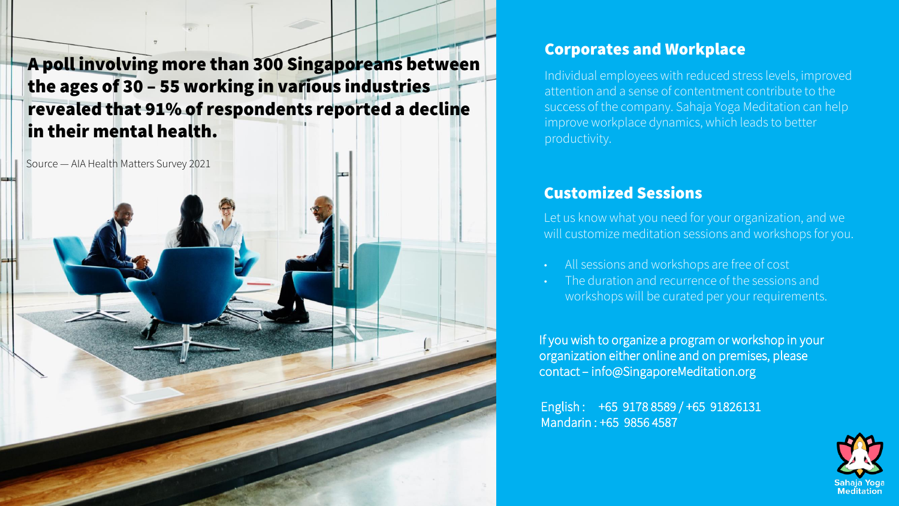A poll involving more than 300 Singaporeans between the ages of 30 – 55 working in various industries revealed that 91% of respondents reported a decline in their mental health.

Source — AIA Health Matters Survey 2021

### Corporates and Workplace

Individual employees with reduced stress levels, improved attention and a sense of contentment contribute to the success of the company. Sahaja Yoga Meditation can help improve workplace dynamics, which leads to better productivity.

## Customized Sessions

Let us know what you need for your organization, and we will customize meditation sessions and workshops for you.

- All sessions and workshops are free of cost
- The duration and recurrence of the sessions and workshops will be curated per your requirements.

If you wish to organize a program or workshop in your organization either online and on premises, please contact – info@SingaporeMeditation.org

English : +65 9178 8589 / +65 91826131 Mandarin : +65 9856 4587